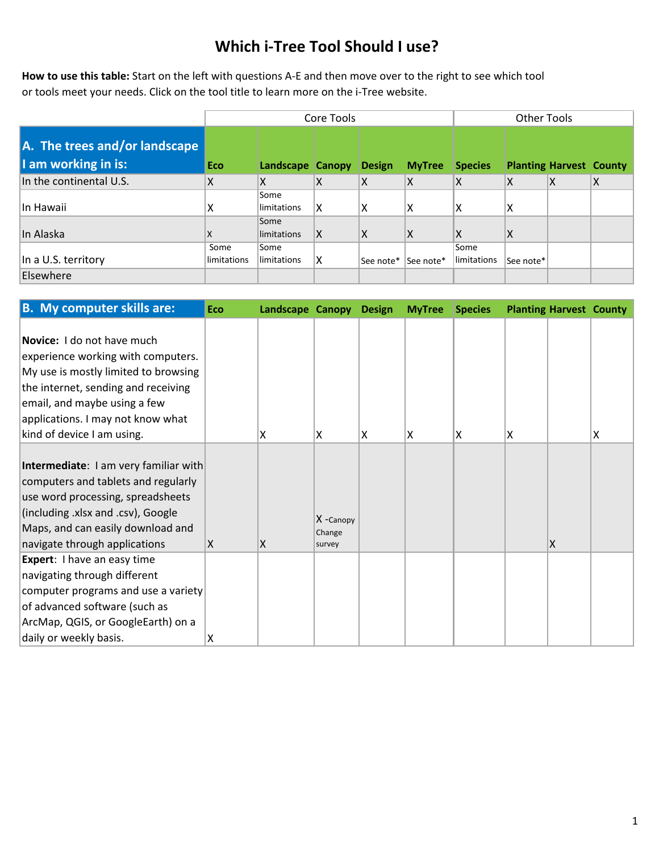## **Which i-Tree Tool Should I use?**

**How to use this table:** Start on the left with questions A-E and then move over to the right to see which tool or tools meet your needs. Click on the tool title to learn more on the i-Tree website.

|                                                      |                     | <b>Other Tools</b>      |                 |               |               |                     |           |                                |   |
|------------------------------------------------------|---------------------|-------------------------|-----------------|---------------|---------------|---------------------|-----------|--------------------------------|---|
| A. The trees and/or landscape<br>I am working in is: | <b>Eco</b>          | <b>Landscape Canopy</b> |                 | <b>Design</b> | <b>MyTree</b> | <b>Species</b>      |           | <b>Planting Harvest County</b> |   |
| In the continental U.S.                              | X                   | X                       | $\mathsf{\chi}$ | X             | Χ             | ΙX                  | Χ         | Χ                              | X |
| In Hawaii                                            | x                   | Some<br>limitations     | x               | X             | ΙX            | ΙX                  | x         |                                |   |
| In Alaska                                            | X                   | Some<br>limitations     | ΙX              | ΙX.           | ΙX            | ΙX                  | X         |                                |   |
| In a U.S. territory                                  | Some<br>limitations | Some<br>limitations     | x               | See note*     | See note*     | Some<br>limitations | See note* |                                |   |
| Elsewhere                                            |                     |                         |                 |               |               |                     |           |                                |   |

| <b>B.</b> My computer skills are:                                                                                                                                                                                                                  | Eco | Landscape Canopy |                               | <b>Design</b> | <b>MyTree</b> | Species |   | <b>Planting Harvest County</b> |   |
|----------------------------------------------------------------------------------------------------------------------------------------------------------------------------------------------------------------------------------------------------|-----|------------------|-------------------------------|---------------|---------------|---------|---|--------------------------------|---|
| Novice: I do not have much<br>experience working with computers.<br>My use is mostly limited to browsing<br>the internet, sending and receiving<br>email, and maybe using a few<br>applications. I may not know what<br>kind of device I am using. |     | x                | ΙX                            | x             | ΙX            | ΙX      | X |                                | Χ |
| Intermediate: I am very familiar with<br>computers and tablets and regularly<br>use word processing, spreadsheets<br>(including .xlsx and .csv), Google<br>Maps, and can easily download and<br>navigate through applications                      | X   | X                | X -Canopy<br>Change<br>survey |               |               |         |   | X                              |   |
| Expert: I have an easy time<br>navigating through different<br>computer programs and use a variety<br>of advanced software (such as<br>ArcMap, QGIS, or GoogleEarth) on a<br>daily or weekly basis.                                                | x   |                  |                               |               |               |         |   |                                |   |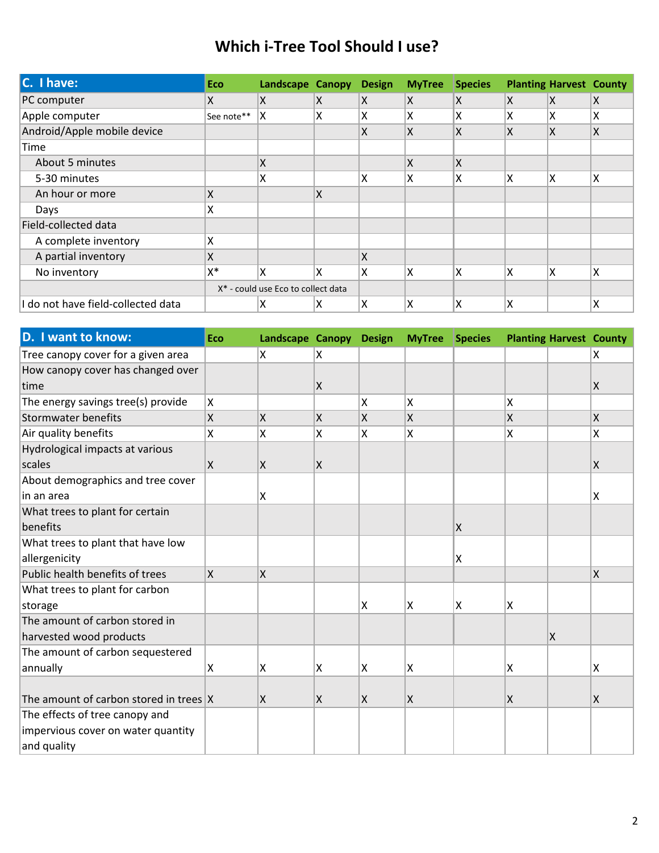## **Which i-Tree Tool Should I use?**

| C. I have:                         | Eco                                            | Landscape Canopy |   | <b>Design</b> | <b>MyTree</b> | <b>Species</b> |     | <b>Planting Harvest County</b> |                         |
|------------------------------------|------------------------------------------------|------------------|---|---------------|---------------|----------------|-----|--------------------------------|-------------------------|
| PC computer                        | x                                              | ΙX               | X | X             | X             | ΙX             | ΙX. | X                              | X                       |
| Apple computer                     | See note**                                     | Χ                | Χ | x             | x             | ΙX             | Χ   | x                              | Χ                       |
| Android/Apple mobile device        |                                                |                  |   | Χ             | X             | ΙX             | ΙX  | X                              | $\mathsf{\overline{X}}$ |
| Time                               |                                                |                  |   |               |               |                |     |                                |                         |
| About 5 minutes                    |                                                | X                |   |               | X             | ΙX             |     |                                |                         |
| 5-30 minutes                       |                                                | X                |   | Χ             | χ             | ΙX             | X   | Χ                              | X                       |
| An hour or more                    | Χ                                              |                  | Χ |               |               |                |     |                                |                         |
| Days                               | Χ                                              |                  |   |               |               |                |     |                                |                         |
| Field-collected data               |                                                |                  |   |               |               |                |     |                                |                         |
| A complete inventory               | Χ                                              |                  |   |               |               |                |     |                                |                         |
| A partial inventory                | Χ                                              |                  |   | X             |               |                |     |                                |                         |
| No inventory                       | $X^*$                                          | X                | X | X             | ΙX            | Iχ             | Χ   | X                              | X                       |
|                                    | X <sup>*</sup> - could use Eco to collect data |                  |   |               |               |                |     |                                |                         |
| I do not have field-collected data |                                                | x                | X | Χ             | χ             | ΙX             | Χ   |                                | Χ                       |

| D. I want to know:                       | Eco                     | Landscape Canopy        |                         | <b>Design</b> | <b>MyTree</b> | <b>Species</b> |     | <b>Planting Harvest County</b> |                         |
|------------------------------------------|-------------------------|-------------------------|-------------------------|---------------|---------------|----------------|-----|--------------------------------|-------------------------|
| Tree canopy cover for a given area       |                         | Χ                       | ΙX.                     |               |               |                |     |                                | X                       |
| How canopy cover has changed over        |                         |                         |                         |               |               |                |     |                                |                         |
| time                                     |                         |                         | X.                      |               |               |                |     |                                | X.                      |
| The energy savings tree(s) provide       | $\overline{\mathsf{x}}$ |                         |                         | X             | X             |                | X   |                                |                         |
| Stormwater benefits                      | $\overline{\mathsf{x}}$ | $\overline{\mathsf{x}}$ | $\overline{\mathsf{x}}$ | Χ             | <b>x</b>      |                | X   |                                | $\overline{\mathsf{x}}$ |
| Air quality benefits                     | Χ                       | Χ                       | Χ                       | X             | Ιx            |                | X   |                                | X                       |
| Hydrological impacts at various          |                         |                         |                         |               |               |                |     |                                |                         |
| scales                                   | $\mathsf{\chi}$         | X                       | Χ                       |               |               |                |     |                                | $\mathsf{\chi}$         |
| About demographics and tree cover        |                         |                         |                         |               |               |                |     |                                |                         |
| lin an area                              |                         | Χ                       |                         |               |               |                |     |                                | X                       |
| What trees to plant for certain          |                         |                         |                         |               |               |                |     |                                |                         |
| benefits                                 |                         |                         |                         |               |               | X              |     |                                |                         |
| What trees to plant that have low        |                         |                         |                         |               |               |                |     |                                |                         |
| allergenicity                            |                         |                         |                         |               |               | ΙX.            |     |                                |                         |
| Public health benefits of trees          | $\mathsf{X}$            | X                       |                         |               |               |                |     |                                | $\overline{\mathsf{x}}$ |
| What trees to plant for carbon           |                         |                         |                         |               |               |                |     |                                |                         |
| storage                                  |                         |                         |                         | X             | ΙX.           | X              | x   |                                |                         |
| The amount of carbon stored in           |                         |                         |                         |               |               |                |     |                                |                         |
| harvested wood products                  |                         |                         |                         |               |               |                |     | $\mathsf{\overline{X}}$        |                         |
| The amount of carbon sequestered         |                         |                         |                         |               |               |                |     |                                |                         |
| annually                                 | Χ                       | Χ                       | Χ                       | Χ             | ΙX            |                | x   |                                | X                       |
|                                          |                         |                         |                         |               |               |                |     |                                |                         |
| The amount of carbon stored in trees $X$ |                         | X.                      | X                       | X             | ΙX.           |                | ΙX. |                                | $\mathsf{\overline{X}}$ |
| The effects of tree canopy and           |                         |                         |                         |               |               |                |     |                                |                         |
| impervious cover on water quantity       |                         |                         |                         |               |               |                |     |                                |                         |
| and quality                              |                         |                         |                         |               |               |                |     |                                |                         |